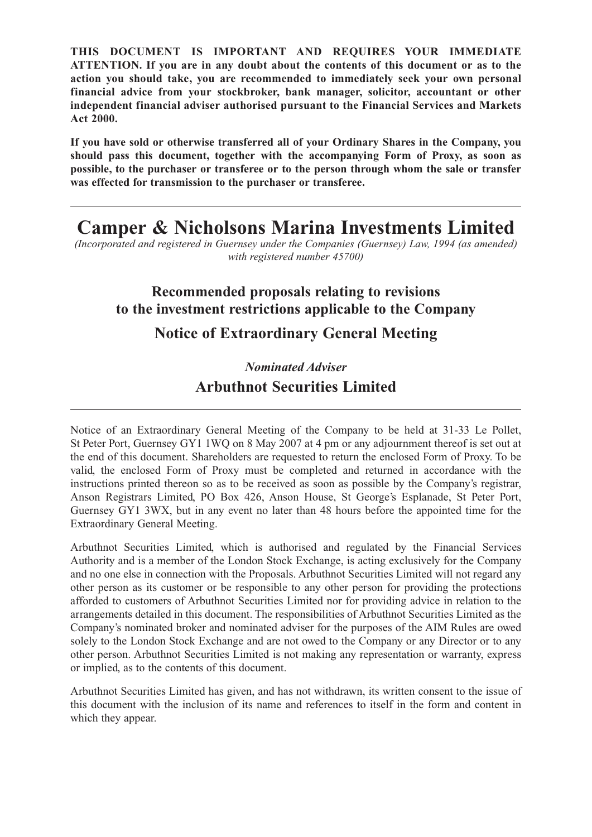**THIS DOCUMENT IS IMPORTANT AND REQUIRES YOUR IMMEDIATE ATTENTION. If you are in any doubt about the contents of this document or as to the action you should take, you are recommended to immediately seek your own personal financial advice from your stockbroker, bank manager, solicitor, accountant or other independent financial adviser authorised pursuant to the Financial Services and Markets Act 2000.**

**If you have sold or otherwise transferred all of your Ordinary Shares in the Company, you should pass this document, together with the accompanying Form of Proxy, as soon as possible, to the purchaser or transferee or to the person through whom the sale or transfer was effected for transmission to the purchaser or transferee.**

# **Camper & Nicholsons Marina Investments Limited**

*(Incorporated and registered in Guernsey under the Companies (Guernsey) Law, 1994 (as amended) with registered number 45700)*

### **Recommended proposals relating to revisions to the investment restrictions applicable to the Company**

## **Notice of Extraordinary General Meeting**

## *Nominated Adviser* **Arbuthnot Securities Limited**

Notice of an Extraordinary General Meeting of the Company to be held at 31-33 Le Pollet, St Peter Port, Guernsey GY1 1WQ on 8 May 2007 at 4 pm or any adjournment thereof is set out at the end of this document. Shareholders are requested to return the enclosed Form of Proxy. To be valid, the enclosed Form of Proxy must be completed and returned in accordance with the instructions printed thereon so as to be received as soon as possible by the Company's registrar, Anson Registrars Limited, PO Box 426, Anson House, St George's Esplanade, St Peter Port, Guernsey GY1 3WX, but in any event no later than 48 hours before the appointed time for the Extraordinary General Meeting.

Arbuthnot Securities Limited, which is authorised and regulated by the Financial Services Authority and is a member of the London Stock Exchange, is acting exclusively for the Company and no one else in connection with the Proposals. Arbuthnot Securities Limited will not regard any other person as its customer or be responsible to any other person for providing the protections afforded to customers of Arbuthnot Securities Limited nor for providing advice in relation to the arrangements detailed in this document. The responsibilities of Arbuthnot Securities Limited as the Company's nominated broker and nominated adviser for the purposes of the AIM Rules are owed solely to the London Stock Exchange and are not owed to the Company or any Director or to any other person. Arbuthnot Securities Limited is not making any representation or warranty, express or implied, as to the contents of this document.

Arbuthnot Securities Limited has given, and has not withdrawn, its written consent to the issue of this document with the inclusion of its name and references to itself in the form and content in which they appear.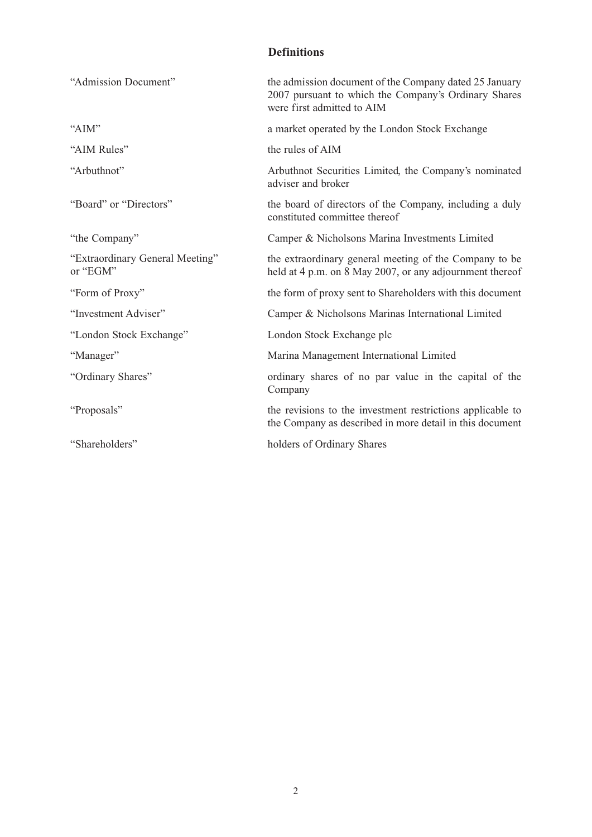### **Definitions**

| "Admission Document"                        | the admission document of the Company dated 25 January<br>2007 pursuant to which the Company's Ordinary Shares<br>were first admitted to AIM |
|---------------------------------------------|----------------------------------------------------------------------------------------------------------------------------------------------|
| "AIM"                                       | a market operated by the London Stock Exchange                                                                                               |
| "AIM Rules"                                 | the rules of AIM                                                                                                                             |
| "Arbuthnot"                                 | Arbuthnot Securities Limited, the Company's nominated<br>adviser and broker                                                                  |
| "Board" or "Directors"                      | the board of directors of the Company, including a duly<br>constituted committee thereof                                                     |
| "the Company"                               | Camper & Nicholsons Marina Investments Limited                                                                                               |
| "Extraordinary General Meeting"<br>or "EGM" | the extraordinary general meeting of the Company to be<br>held at 4 p.m. on 8 May 2007, or any adjournment thereof                           |
| "Form of Proxy"                             | the form of proxy sent to Shareholders with this document                                                                                    |
| "Investment Adviser"                        | Camper & Nicholsons Marinas International Limited                                                                                            |
| "London Stock Exchange"                     | London Stock Exchange plc                                                                                                                    |
| "Manager"                                   | Marina Management International Limited                                                                                                      |
| "Ordinary Shares"                           | ordinary shares of no par value in the capital of the<br>Company                                                                             |
| "Proposals"                                 | the revisions to the investment restrictions applicable to<br>the Company as described in more detail in this document                       |
| "Shareholders"                              | holders of Ordinary Shares                                                                                                                   |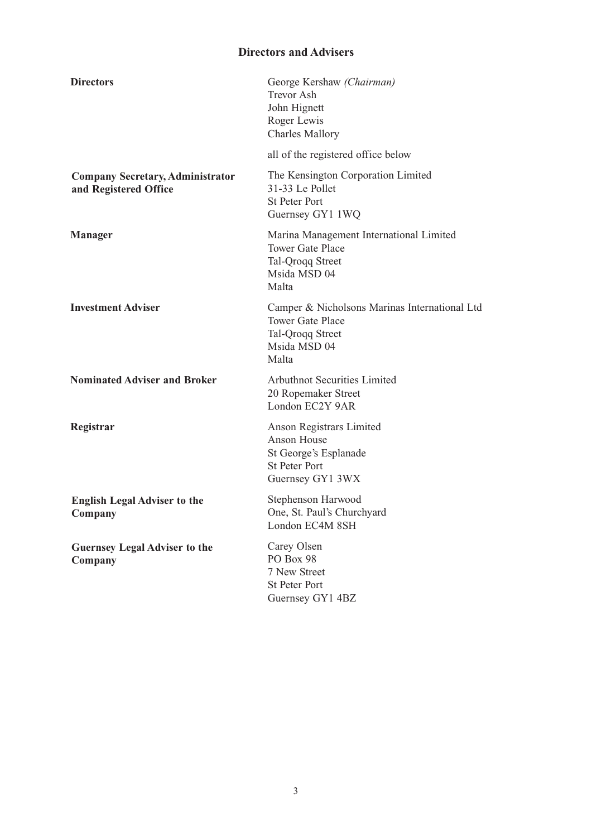### **Directors and Advisers**

| <b>Directors</b><br>George Kershaw (Chairman)<br><b>Trevor Ash</b><br>John Hignett<br>Roger Lewis<br><b>Charles Mallory</b><br>all of the registered office below<br>The Kensington Corporation Limited<br><b>Company Secretary, Administrator</b><br>31-33 Le Pollet<br>and Registered Office<br><b>St Peter Port</b><br>Guernsey GY1 1WQ<br>Marina Management International Limited<br><b>Manager</b><br><b>Tower Gate Place</b><br>Tal-Qroqq Street<br>Msida MSD 04<br>Malta<br><b>Investment Adviser</b><br>Camper & Nicholsons Marinas International Ltd |  |
|---------------------------------------------------------------------------------------------------------------------------------------------------------------------------------------------------------------------------------------------------------------------------------------------------------------------------------------------------------------------------------------------------------------------------------------------------------------------------------------------------------------------------------------------------------------|--|
|                                                                                                                                                                                                                                                                                                                                                                                                                                                                                                                                                               |  |
|                                                                                                                                                                                                                                                                                                                                                                                                                                                                                                                                                               |  |
|                                                                                                                                                                                                                                                                                                                                                                                                                                                                                                                                                               |  |
|                                                                                                                                                                                                                                                                                                                                                                                                                                                                                                                                                               |  |
| <b>Tower Gate Place</b><br>Tal-Qroqq Street<br>Msida MSD 04<br>Malta                                                                                                                                                                                                                                                                                                                                                                                                                                                                                          |  |
| <b>Nominated Adviser and Broker</b><br>Arbuthnot Securities Limited<br>20 Ropemaker Street<br>London EC2Y 9AR                                                                                                                                                                                                                                                                                                                                                                                                                                                 |  |
| Registrar<br>Anson Registrars Limited<br>Anson House<br>St George's Esplanade<br><b>St Peter Port</b><br>Guernsey GY1 3WX                                                                                                                                                                                                                                                                                                                                                                                                                                     |  |
| Stephenson Harwood<br><b>English Legal Adviser to the</b><br>One, St. Paul's Churchyard<br>Company<br>London EC4M 8SH                                                                                                                                                                                                                                                                                                                                                                                                                                         |  |
| Carey Olsen<br><b>Guernsey Legal Adviser to the</b><br>PO Box 98<br>Company<br>7 New Street<br><b>St Peter Port</b><br>Guernsey GY1 4BZ                                                                                                                                                                                                                                                                                                                                                                                                                       |  |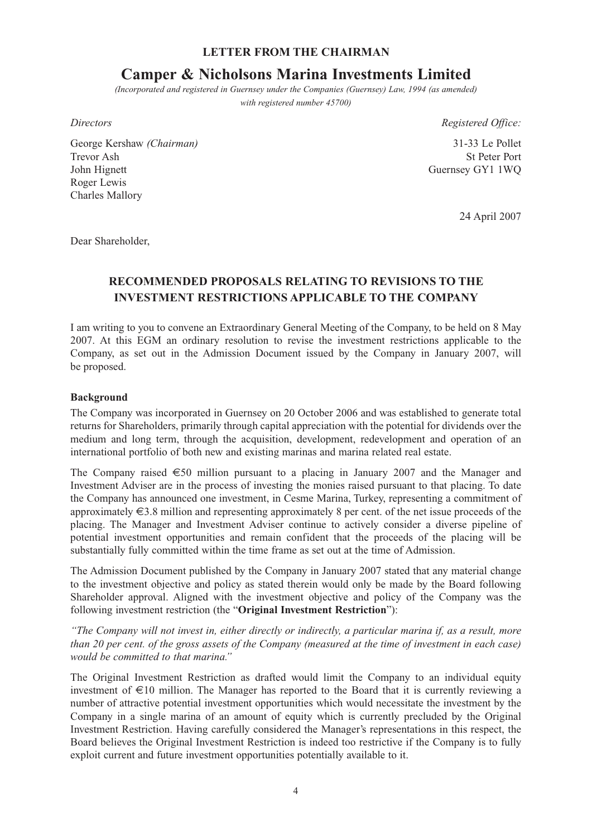#### **LETTER FROM THE CHAIRMAN**

### **Camper & Nicholsons Marina Investments Limited**

*(Incorporated and registered in Guernsey under the Companies (Guernsey) Law, 1994 (as amended) with registered number 45700)*

George Kershaw *(Chairman)* 31-33 Le Pollet Trevor Ash St Peter Port John Hignett Guernsey GY1 1WQ Roger Lewis Charles Mallory

*Directors Registered Office:*

24 April 2007

Dear Shareholder,

### **RECOMMENDED PROPOSALS RELATING TO REVISIONS TO THE INVESTMENT RESTRICTIONS APPLICABLE TO THE COMPANY**

I am writing to you to convene an Extraordinary General Meeting of the Company, to be held on 8 May 2007. At this EGM an ordinary resolution to revise the investment restrictions applicable to the Company, as set out in the Admission Document issued by the Company in January 2007, will be proposed.

#### **Background**

The Company was incorporated in Guernsey on 20 October 2006 and was established to generate total returns for Shareholders, primarily through capital appreciation with the potential for dividends over the medium and long term, through the acquisition, development, redevelopment and operation of an international portfolio of both new and existing marinas and marina related real estate.

The Company raised  $\epsilon$ 50 million pursuant to a placing in January 2007 and the Manager and Investment Adviser are in the process of investing the monies raised pursuant to that placing. To date the Company has announced one investment, in Cesme Marina, Turkey, representing a commitment of approximately €3.8 million and representing approximately 8 per cent. of the net issue proceeds of the placing. The Manager and Investment Adviser continue to actively consider a diverse pipeline of potential investment opportunities and remain confident that the proceeds of the placing will be substantially fully committed within the time frame as set out at the time of Admission.

The Admission Document published by the Company in January 2007 stated that any material change to the investment objective and policy as stated therein would only be made by the Board following Shareholder approval. Aligned with the investment objective and policy of the Company was the following investment restriction (the "**Original Investment Restriction**"):

*"The Company will not invest in, either directly or indirectly, a particular marina if, as a result, more than 20 per cent. of the gross assets of the Company (measured at the time of investment in each case) would be committed to that marina."*

The Original Investment Restriction as drafted would limit the Company to an individual equity investment of €10 million. The Manager has reported to the Board that it is currently reviewing a number of attractive potential investment opportunities which would necessitate the investment by the Company in a single marina of an amount of equity which is currently precluded by the Original Investment Restriction. Having carefully considered the Manager's representations in this respect, the Board believes the Original Investment Restriction is indeed too restrictive if the Company is to fully exploit current and future investment opportunities potentially available to it.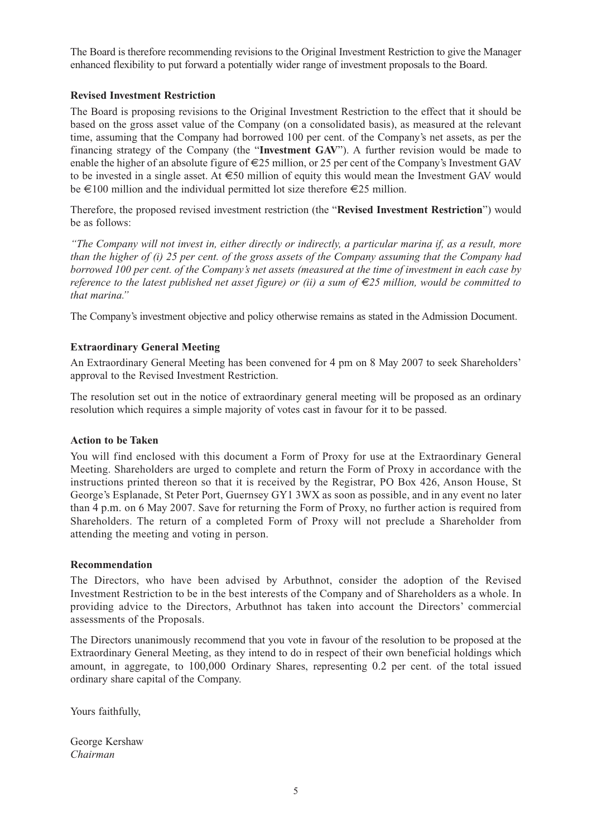The Board is therefore recommending revisions to the Original Investment Restriction to give the Manager enhanced flexibility to put forward a potentially wider range of investment proposals to the Board.

#### **Revised Investment Restriction**

The Board is proposing revisions to the Original Investment Restriction to the effect that it should be based on the gross asset value of the Company (on a consolidated basis), as measured at the relevant time, assuming that the Company had borrowed 100 per cent. of the Company's net assets, as per the financing strategy of the Company (the "**Investment GAV**"). A further revision would be made to enable the higher of an absolute figure of  $\epsilon$ 25 million, or 25 per cent of the Company's Investment GAV to be invested in a single asset. At €50 million of equity this would mean the Investment GAV would be  $\text{\large} \in 100$  million and the individual permitted lot size therefore  $\text{\large} \in 25$  million.

Therefore, the proposed revised investment restriction (the "**Revised Investment Restriction**") would be as follows:

*"The Company will not invest in, either directly or indirectly, a particular marina if, as a result, more than the higher of (i) 25 per cent. of the gross assets of the Company assuming that the Company had borrowed 100 per cent. of the Company's net assets (measured at the time of investment in each case by reference to the latest published net asset figure) or (ii) a sum of €25 million, would be committed to that marina."*

The Company's investment objective and policy otherwise remains as stated in the Admission Document.

#### **Extraordinary General Meeting**

An Extraordinary General Meeting has been convened for 4 pm on 8 May 2007 to seek Shareholders' approval to the Revised Investment Restriction.

The resolution set out in the notice of extraordinary general meeting will be proposed as an ordinary resolution which requires a simple majority of votes cast in favour for it to be passed.

#### **Action to be Taken**

You will find enclosed with this document a Form of Proxy for use at the Extraordinary General Meeting. Shareholders are urged to complete and return the Form of Proxy in accordance with the instructions printed thereon so that it is received by the Registrar, PO Box 426, Anson House, St George's Esplanade, St Peter Port, Guernsey GY1 3WX as soon as possible, and in any event no later than 4 p.m. on 6 May 2007. Save for returning the Form of Proxy, no further action is required from Shareholders. The return of a completed Form of Proxy will not preclude a Shareholder from attending the meeting and voting in person.

#### **Recommendation**

The Directors, who have been advised by Arbuthnot, consider the adoption of the Revised Investment Restriction to be in the best interests of the Company and of Shareholders as a whole. In providing advice to the Directors, Arbuthnot has taken into account the Directors' commercial assessments of the Proposals.

The Directors unanimously recommend that you vote in favour of the resolution to be proposed at the Extraordinary General Meeting, as they intend to do in respect of their own beneficial holdings which amount, in aggregate, to 100,000 Ordinary Shares, representing 0.2 per cent. of the total issued ordinary share capital of the Company.

Yours faithfully,

George Kershaw *Chairman*